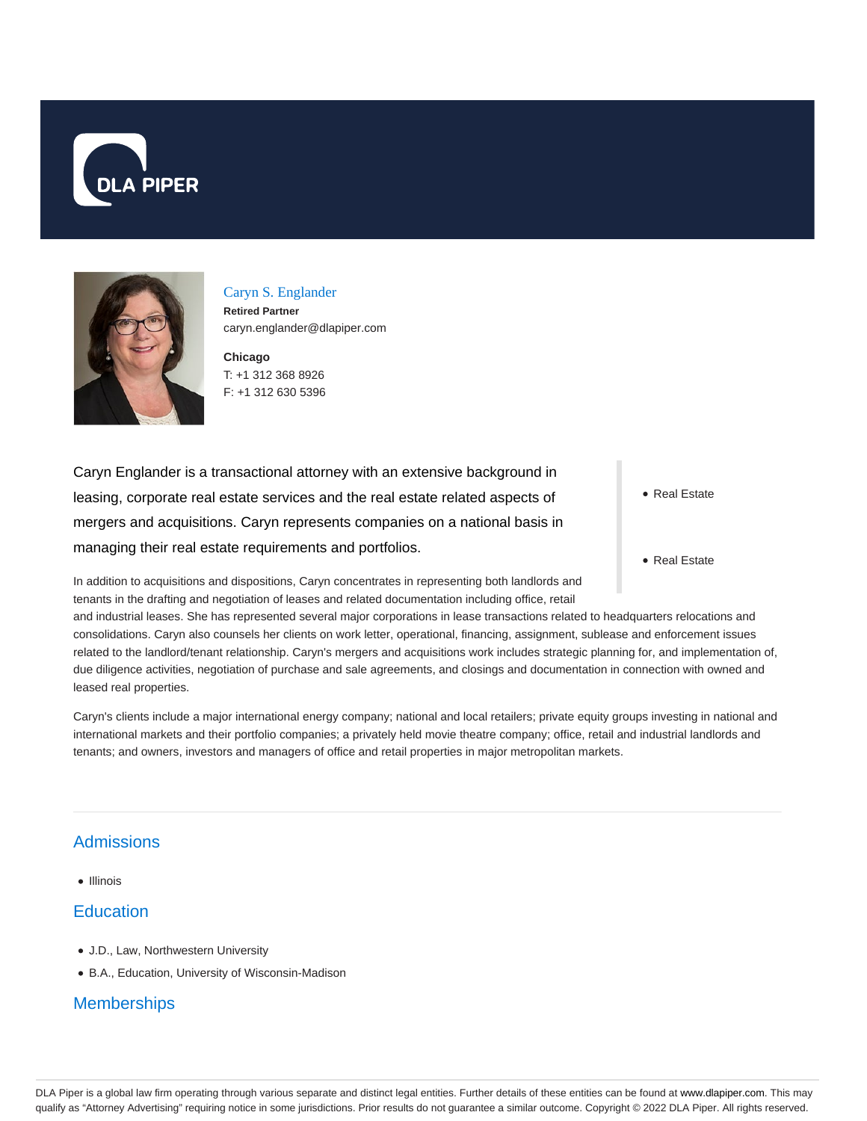



Caryn S. Englander **Retired Partner**

caryn.englander@dlapiper.com

**Chicago** T: +1 312 368 8926

F: +1 312 630 5396

Caryn Englander is a transactional attorney with an extensive background in leasing, corporate real estate services and the real estate related aspects of mergers and acquisitions. Caryn represents companies on a national basis in managing their real estate requirements and portfolios.

In addition to acquisitions and dispositions, Caryn concentrates in representing both landlords and tenants in the drafting and negotiation of leases and related documentation including office, retail

• Real Estate

• Real Estate

and industrial leases. She has represented several major corporations in lease transactions related to headquarters relocations and consolidations. Caryn also counsels her clients on work letter, operational, financing, assignment, sublease and enforcement issues related to the landlord/tenant relationship. Caryn's mergers and acquisitions work includes strategic planning for, and implementation of, due diligence activities, negotiation of purchase and sale agreements, and closings and documentation in connection with owned and leased real properties.

Caryn's clients include a major international energy company; national and local retailers; private equity groups investing in national and international markets and their portfolio companies; a privately held movie theatre company; office, retail and industrial landlords and tenants; and owners, investors and managers of office and retail properties in major metropolitan markets.

## Admissions

• Illinois

## **Education**

- J.D., Law, Northwestern University
- B.A., Education, University of Wisconsin-Madison

## **Memberships**

DLA Piper is a global law firm operating through various separate and distinct legal entities. Further details of these entities can be found at www.dlapiper.com. This may qualify as "Attorney Advertising" requiring notice in some jurisdictions. Prior results do not guarantee a similar outcome. Copyright @ 2022 DLA Piper. All rights reserved.